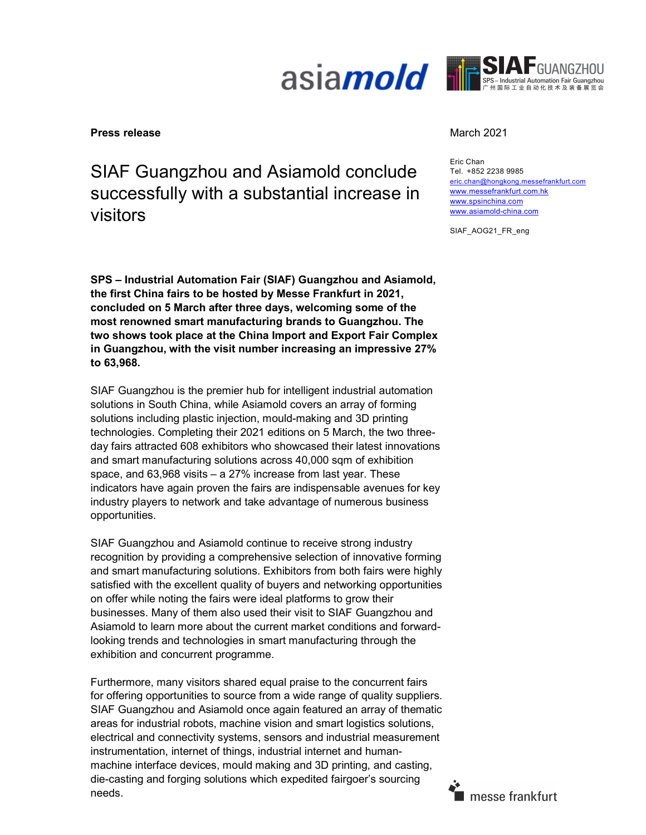



#### **Press release** March 2021

# SIAF Guangzhou and Asiamold conclude successfully with a substantial increase in visitors

SPS – Industrial Automation Fair (SIAF) Guangzhou and Asiamold, the first China fairs to be hosted by Messe Frankfurt in 2021, concluded on 5 March after three days, welcoming some of the most renowned smart manufacturing brands to Guangzhou. The two shows took place at the China Import and Export Fair Complex in Guangzhou, with the visit number increasing an impressive 27% to 63,968.

SIAF Guangzhou is the premier hub for intelligent industrial automation solutions in South China, while Asiamold covers an array of forming solutions including plastic injection, mould-making and 3D printing technologies. Completing their 2021 editions on 5 March, the two threeday fairs attracted 608 exhibitors who showcased their latest innovations and smart manufacturing solutions across 40,000 sqm of exhibition space, and 63,968 visits – a 27% increase from last year. These indicators have again proven the fairs are indispensable avenues for key industry players to network and take advantage of numerous business opportunities.

SIAF Guangzhou and Asiamold continue to receive strong industry recognition by providing a comprehensive selection of innovative forming and smart manufacturing solutions. Exhibitors from both fairs were highly satisfied with the excellent quality of buyers and networking opportunities on offer while noting the fairs were ideal platforms to grow their businesses. Many of them also used their visit to SIAF Guangzhou and Asiamold to learn more about the current market conditions and forwardlooking trends and technologies in smart manufacturing through the exhibition and concurrent programme.

Furthermore, many visitors shared equal praise to the concurrent fairs for offering opportunities to source from a wide range of quality suppliers. SIAF Guangzhou and Asiamold once again featured an array of thematic areas for industrial robots, machine vision and smart logistics solutions, electrical and connectivity systems, sensors and industrial measurement instrumentation, internet of things, industrial internet and humanmachine interface devices, mould making and 3D printing, and casting, die-casting and forging solutions which expedited fairgoer's sourcing needs.

Eric Chan Tel. +852 2238 9985 eric.chan@hongkong.messefrankfurt.com www.messefrankfurt.com.hk www.spsinchina.com www.asiamold-china.com

SIAF\_AOG21\_FR\_eng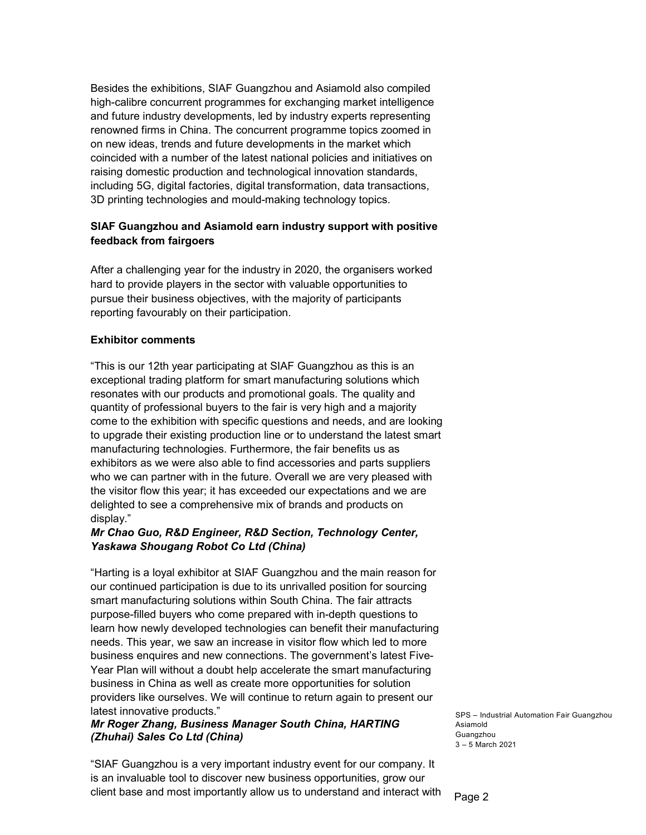Besides the exhibitions, SIAF Guangzhou and Asiamold also compiled high-calibre concurrent programmes for exchanging market intelligence and future industry developments, led by industry experts representing renowned firms in China. The concurrent programme topics zoomed in on new ideas, trends and future developments in the market which coincided with a number of the latest national policies and initiatives on raising domestic production and technological innovation standards, including 5G, digital factories, digital transformation, data transactions, 3D printing technologies and mould-making technology topics.

#### SIAF Guangzhou and Asiamold earn industry support with positive feedback from fairgoers

After a challenging year for the industry in 2020, the organisers worked hard to provide players in the sector with valuable opportunities to pursue their business objectives, with the majority of participants reporting favourably on their participation.

#### Exhibitor comments

"This is our 12th year participating at SIAF Guangzhou as this is an exceptional trading platform for smart manufacturing solutions which resonates with our products and promotional goals. The quality and quantity of professional buyers to the fair is very high and a majority come to the exhibition with specific questions and needs, and are looking to upgrade their existing production line or to understand the latest smart manufacturing technologies. Furthermore, the fair benefits us as exhibitors as we were also able to find accessories and parts suppliers who we can partner with in the future. Overall we are very pleased with the visitor flow this year; it has exceeded our expectations and we are delighted to see a comprehensive mix of brands and products on display."

## Mr Chao Guo, R&D Engineer, R&D Section, Technology Center, Yaskawa Shougang Robot Co Ltd (China)

"Harting is a loyal exhibitor at SIAF Guangzhou and the main reason for our continued participation is due to its unrivalled position for sourcing smart manufacturing solutions within South China. The fair attracts purpose-filled buyers who come prepared with in-depth questions to learn how newly developed technologies can benefit their manufacturing needs. This year, we saw an increase in visitor flow which led to more business enquires and new connections. The government's latest Five-Year Plan will without a doubt help accelerate the smart manufacturing business in China as well as create more opportunities for solution providers like ourselves. We will continue to return again to present our latest innovative products."

## Mr Roger Zhang, Business Manager South China, HARTING (Zhuhai) Sales Co Ltd (China)

"SIAF Guangzhou is a very important industry event for our company. It is an invaluable tool to discover new business opportunities, grow our client base and most importantly allow us to understand and interact with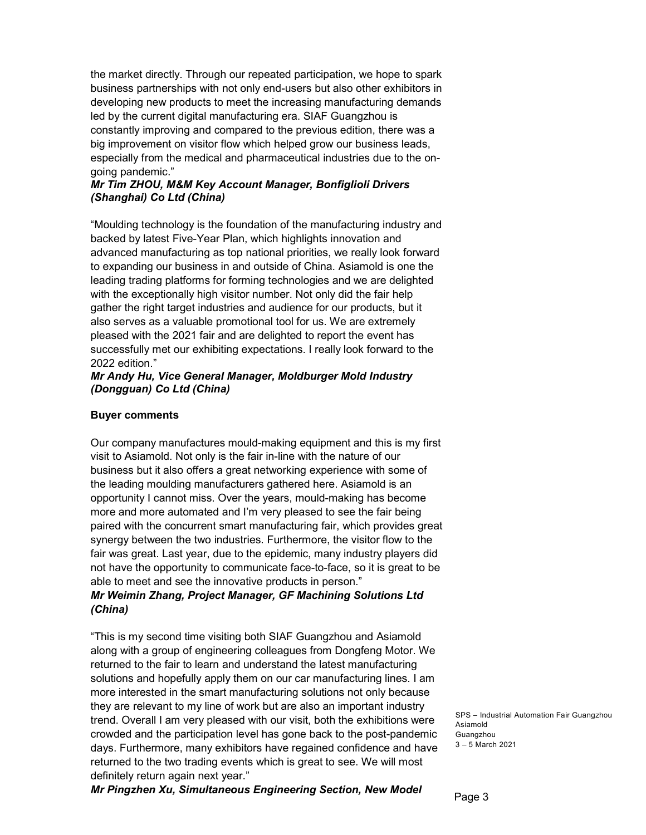the market directly. Through our repeated participation, we hope to spark business partnerships with not only end-users but also other exhibitors in developing new products to meet the increasing manufacturing demands led by the current digital manufacturing era. SIAF Guangzhou is constantly improving and compared to the previous edition, there was a big improvement on visitor flow which helped grow our business leads, especially from the medical and pharmaceutical industries due to the ongoing pandemic."

#### Mr Tim ZHOU, M&M Key Account Manager, Bonfiglioli Drivers (Shanghai) Co Ltd (China)

"Moulding technology is the foundation of the manufacturing industry and backed by latest Five-Year Plan, which highlights innovation and advanced manufacturing as top national priorities, we really look forward to expanding our business in and outside of China. Asiamold is one the leading trading platforms for forming technologies and we are delighted with the exceptionally high visitor number. Not only did the fair help gather the right target industries and audience for our products, but it also serves as a valuable promotional tool for us. We are extremely pleased with the 2021 fair and are delighted to report the event has successfully met our exhibiting expectations. I really look forward to the 2022 edition."

#### Mr Andy Hu, Vice General Manager, Moldburger Mold Industry (Dongguan) Co Ltd (China)

#### Buyer comments

Our company manufactures mould-making equipment and this is my first visit to Asiamold. Not only is the fair in-line with the nature of our business but it also offers a great networking experience with some of the leading moulding manufacturers gathered here. Asiamold is an opportunity I cannot miss. Over the years, mould-making has become more and more automated and I'm very pleased to see the fair being paired with the concurrent smart manufacturing fair, which provides great synergy between the two industries. Furthermore, the visitor flow to the fair was great. Last year, due to the epidemic, many industry players did not have the opportunity to communicate face-to-face, so it is great to be able to meet and see the innovative products in person."

## Mr Weimin Zhang, Project Manager, GF Machining Solutions Ltd (China)

"This is my second time visiting both SIAF Guangzhou and Asiamold along with a group of engineering colleagues from Dongfeng Motor. We returned to the fair to learn and understand the latest manufacturing solutions and hopefully apply them on our car manufacturing lines. I am more interested in the smart manufacturing solutions not only because they are relevant to my line of work but are also an important industry trend. Overall I am very pleased with our visit, both the exhibitions were crowded and the participation level has gone back to the post-pandemic days. Furthermore, many exhibitors have regained confidence and have returned to the two trading events which is great to see. We will most definitely return again next year."

Mr Pingzhen Xu, Simultaneous Engineering Section, New Model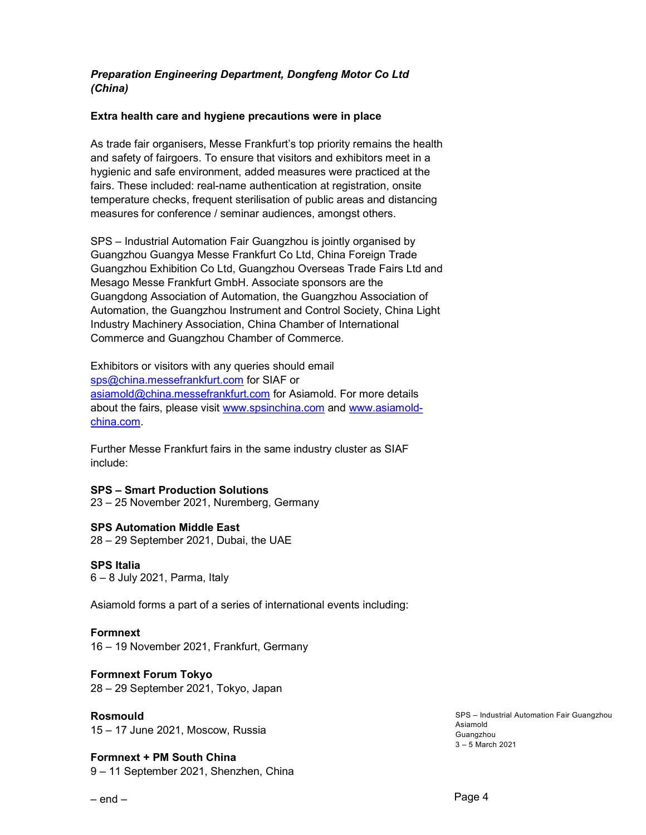#### Preparation Engineering Department, Dongfeng Motor Co Ltd (China)

#### Extra health care and hygiene precautions were in place

As trade fair organisers, Messe Frankfurt's top priority remains the health and safety of fairgoers. To ensure that visitors and exhibitors meet in a hygienic and safe environment, added measures were practiced at the fairs. These included: real-name authentication at registration, onsite temperature checks, frequent sterilisation of public areas and distancing measures for conference / seminar audiences, amongst others.

SPS – Industrial Automation Fair Guangzhou is jointly organised by Guangzhou Guangya Messe Frankfurt Co Ltd, China Foreign Trade Guangzhou Exhibition Co Ltd, Guangzhou Overseas Trade Fairs Ltd and Mesago Messe Frankfurt GmbH. Associate sponsors are the Guangdong Association of Automation, the Guangzhou Association of Automation, the Guangzhou Instrument and Control Society, China Light Industry Machinery Association, China Chamber of International Commerce and Guangzhou Chamber of Commerce.

Exhibitors or visitors with any queries should email sps@china.messefrankfurt.com for SIAF or asiamold@china.messefrankfurt.com for Asiamold. For more details about the fairs, please visit www.spsinchina.com and www.asiamoldchina.com.

Further Messe Frankfurt fairs in the same industry cluster as SIAF include:

#### SPS – Smart Production Solutions

23 – 25 November 2021, Nuremberg, Germany

#### SPS Automation Middle East

28 – 29 September 2021, Dubai, the UAE

#### SPS Italia

6 – 8 July 2021, Parma, Italy

Asiamold forms a part of a series of international events including:

#### Formnext

16 – 19 November 2021, Frankfurt, Germany

#### Formnext Forum Tokyo

28 – 29 September 2021, Tokyo, Japan

#### Rosmould

15 – 17 June 2021, Moscow, Russia

#### Formnext + PM South China 9 – 11 September 2021, Shenzhen, China